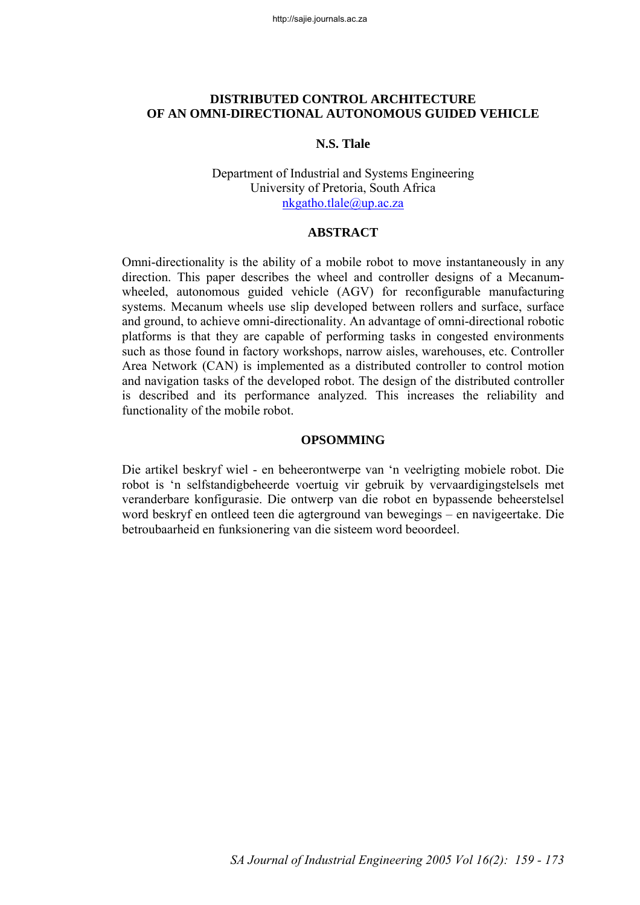# **DISTRIBUTED CONTROL ARCHITECTURE OF AN OMNI-DIRECTIONAL AUTONOMOUS GUIDED VEHICLE**

### **N.S. Tlale**

### Department of Industrial and Systems Engineering University of Pretoria, South Africa nkgatho.tlale@up.ac.za

#### **ABSTRACT**

Omni-directionality is the ability of a mobile robot to move instantaneously in any direction. This paper describes the wheel and controller designs of a Mecanumwheeled, autonomous guided vehicle (AGV) for reconfigurable manufacturing systems. Mecanum wheels use slip developed between rollers and surface, surface and ground, to achieve omni-directionality. An advantage of omni-directional robotic platforms is that they are capable of performing tasks in congested environments such as those found in factory workshops, narrow aisles, warehouses, etc. Controller Area Network (CAN) is implemented as a distributed controller to control motion and navigation tasks of the developed robot. The design of the distributed controller is described and its performance analyzed. This increases the reliability and functionality of the mobile robot.

#### **OPSOMMING**

Die artikel beskryf wiel - en beheerontwerpe van 'n veelrigting mobiele robot. Die robot is 'n selfstandigbeheerde voertuig vir gebruik by vervaardigingstelsels met veranderbare konfigurasie. Die ontwerp van die robot en bypassende beheerstelsel word beskryf en ontleed teen die agterground van bewegings – en navigeertake. Die betroubaarheid en funksionering van die sisteem word beoordeel.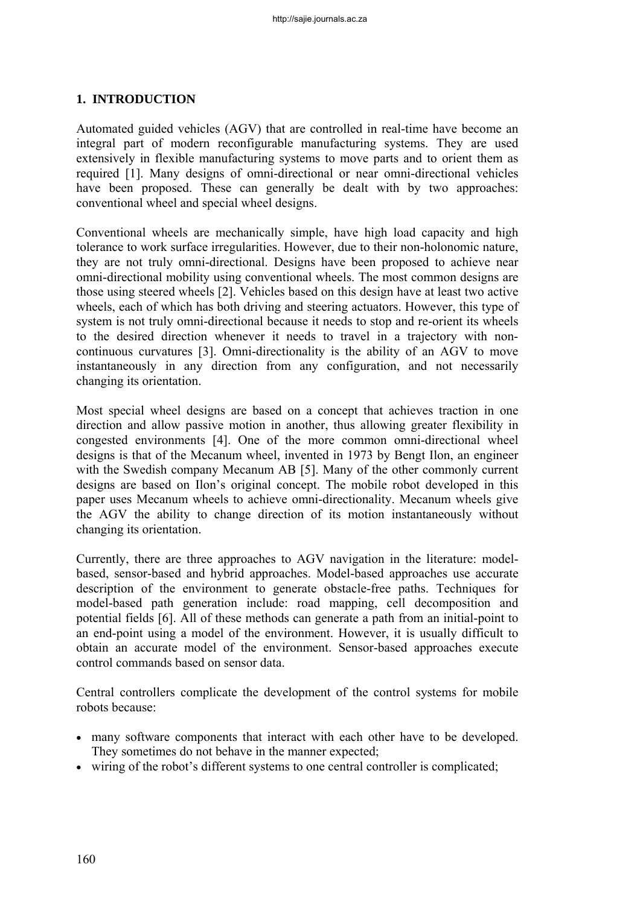# **1. INTRODUCTION**

Automated guided vehicles (AGV) that are controlled in real-time have become an integral part of modern reconfigurable manufacturing systems. They are used extensively in flexible manufacturing systems to move parts and to orient them as required [1]. Many designs of omni-directional or near omni-directional vehicles have been proposed. These can generally be dealt with by two approaches: conventional wheel and special wheel designs.

Conventional wheels are mechanically simple, have high load capacity and high tolerance to work surface irregularities. However, due to their non-holonomic nature, they are not truly omni-directional. Designs have been proposed to achieve near omni-directional mobility using conventional wheels. The most common designs are those using steered wheels [2]. Vehicles based on this design have at least two active wheels, each of which has both driving and steering actuators. However, this type of system is not truly omni-directional because it needs to stop and re-orient its wheels to the desired direction whenever it needs to travel in a trajectory with noncontinuous curvatures [3]. Omni-directionality is the ability of an AGV to move instantaneously in any direction from any configuration, and not necessarily changing its orientation.

Most special wheel designs are based on a concept that achieves traction in one direction and allow passive motion in another, thus allowing greater flexibility in congested environments [4]. One of the more common omni-directional wheel designs is that of the Mecanum wheel, invented in 1973 by Bengt Ilon, an engineer with the Swedish company Mecanum AB [5]. Many of the other commonly current designs are based on Ilon's original concept. The mobile robot developed in this paper uses Mecanum wheels to achieve omni-directionality. Mecanum wheels give the AGV the ability to change direction of its motion instantaneously without changing its orientation.

Currently, there are three approaches to AGV navigation in the literature: modelbased, sensor-based and hybrid approaches. Model-based approaches use accurate description of the environment to generate obstacle-free paths. Techniques for model-based path generation include: road mapping, cell decomposition and potential fields [6]. All of these methods can generate a path from an initial-point to an end-point using a model of the environment. However, it is usually difficult to obtain an accurate model of the environment. Sensor-based approaches execute control commands based on sensor data.

Central controllers complicate the development of the control systems for mobile robots because:

- many software components that interact with each other have to be developed. They sometimes do not behave in the manner expected;
- wiring of the robot's different systems to one central controller is complicated;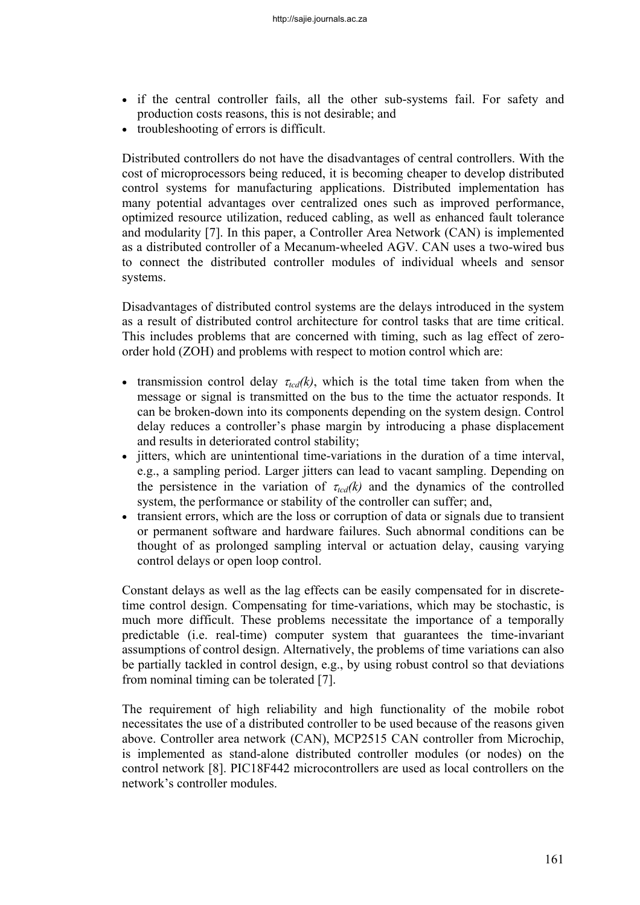- if the central controller fails, all the other sub-systems fail. For safety and production costs reasons, this is not desirable; and
- troubleshooting of errors is difficult.

Distributed controllers do not have the disadvantages of central controllers. With the cost of microprocessors being reduced, it is becoming cheaper to develop distributed control systems for manufacturing applications. Distributed implementation has many potential advantages over centralized ones such as improved performance, optimized resource utilization, reduced cabling, as well as enhanced fault tolerance and modularity [7]. In this paper, a Controller Area Network (CAN) is implemented as a distributed controller of a Mecanum-wheeled AGV. CAN uses a two-wired bus to connect the distributed controller modules of individual wheels and sensor systems.

Disadvantages of distributed control systems are the delays introduced in the system as a result of distributed control architecture for control tasks that are time critical. This includes problems that are concerned with timing, such as lag effect of zeroorder hold (ZOH) and problems with respect to motion control which are:

- transmission control delay  $\tau_{tcd}(k)$ , which is the total time taken from when the message or signal is transmitted on the bus to the time the actuator responds. It can be broken-down into its components depending on the system design. Control delay reduces a controller's phase margin by introducing a phase displacement and results in deteriorated control stability;
- jitters, which are unintentional time-variations in the duration of a time interval, e.g., a sampling period. Larger jitters can lead to vacant sampling. Depending on the persistence in the variation of  $\tau_{tcd}(k)$  and the dynamics of the controlled system, the performance or stability of the controller can suffer; and,
- transient errors, which are the loss or corruption of data or signals due to transient or permanent software and hardware failures. Such abnormal conditions can be thought of as prolonged sampling interval or actuation delay, causing varying control delays or open loop control.

Constant delays as well as the lag effects can be easily compensated for in discretetime control design. Compensating for time-variations, which may be stochastic, is much more difficult. These problems necessitate the importance of a temporally predictable (i.e. real-time) computer system that guarantees the time-invariant assumptions of control design. Alternatively, the problems of time variations can also be partially tackled in control design, e.g., by using robust control so that deviations from nominal timing can be tolerated [7].

The requirement of high reliability and high functionality of the mobile robot necessitates the use of a distributed controller to be used because of the reasons given above. Controller area network (CAN), MCP2515 CAN controller from Microchip, is implemented as stand-alone distributed controller modules (or nodes) on the control network [8]. PIC18F442 microcontrollers are used as local controllers on the network's controller modules.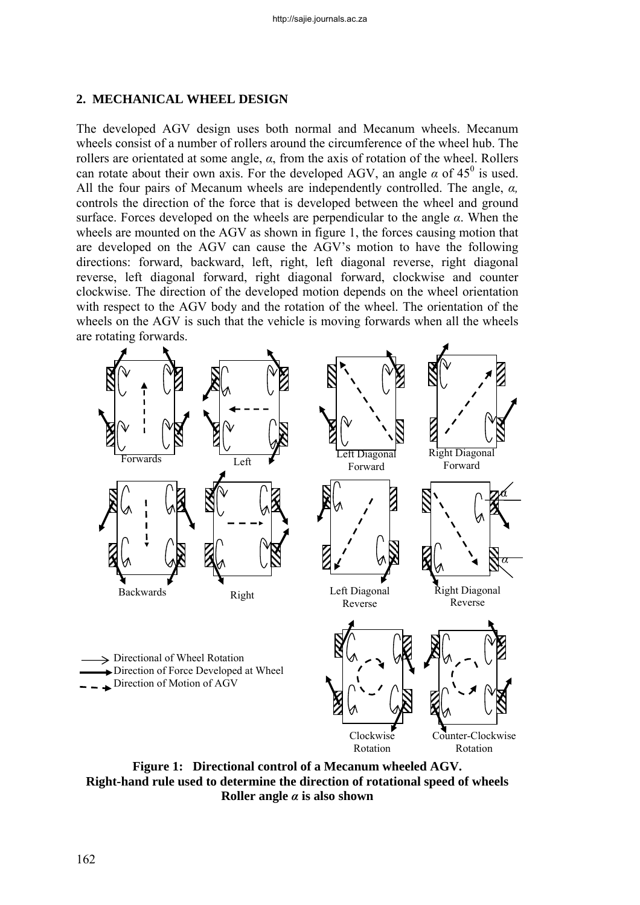### **2. MECHANICAL WHEEL DESIGN**

The developed AGV design uses both normal and Mecanum wheels. Mecanum wheels consist of a number of rollers around the circumference of the wheel hub. The rollers are orientated at some angle, *α*, from the axis of rotation of the wheel. Rollers can rotate about their own axis. For the developed AGV, an angle  $\alpha$  of 45<sup>0</sup> is used. All the four pairs of Mecanum wheels are independently controlled. The angle, *α,* controls the direction of the force that is developed between the wheel and ground surface. Forces developed on the wheels are perpendicular to the angle *α*. When the wheels are mounted on the AGV as shown in figure 1, the forces causing motion that are developed on the AGV can cause the AGV's motion to have the following directions: forward, backward, left, right, left diagonal reverse, right diagonal reverse, left diagonal forward, right diagonal forward, clockwise and counter clockwise. The direction of the developed motion depends on the wheel orientation with respect to the AGV body and the rotation of the wheel. The orientation of the wheels on the AGV is such that the vehicle is moving forwards when all the wheels are rotating forwards.



**Figure 1: Directional control of a Mecanum wheeled AGV. Right-hand rule used to determine the direction of rotational speed of wheels Roller angle** *α* **is also shown**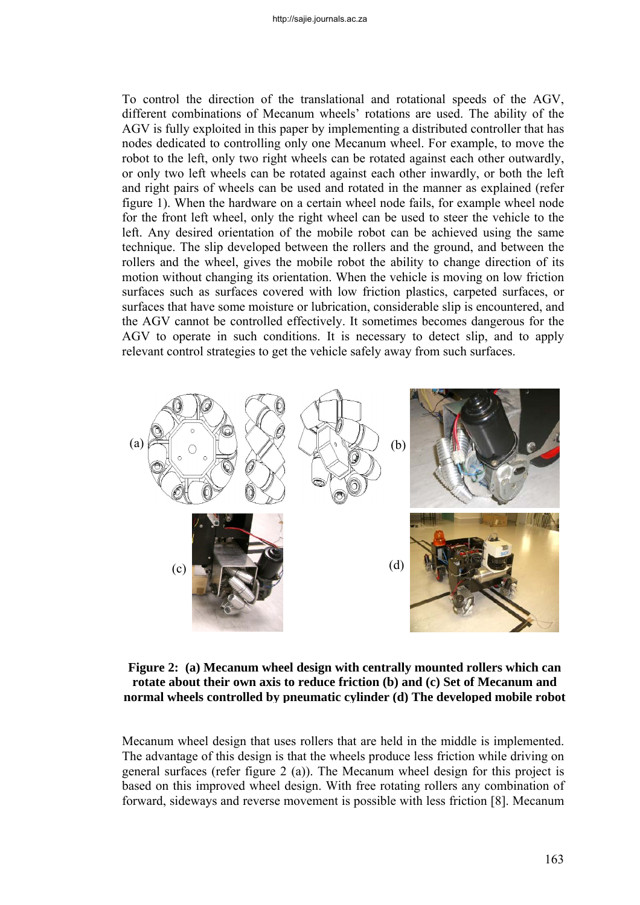To control the direction of the translational and rotational speeds of the AGV, different combinations of Mecanum wheels' rotations are used. The ability of the AGV is fully exploited in this paper by implementing a distributed controller that has nodes dedicated to controlling only one Mecanum wheel. For example, to move the robot to the left, only two right wheels can be rotated against each other outwardly, or only two left wheels can be rotated against each other inwardly, or both the left and right pairs of wheels can be used and rotated in the manner as explained (refer figure 1). When the hardware on a certain wheel node fails, for example wheel node for the front left wheel, only the right wheel can be used to steer the vehicle to the left. Any desired orientation of the mobile robot can be achieved using the same technique. The slip developed between the rollers and the ground, and between the rollers and the wheel, gives the mobile robot the ability to change direction of its motion without changing its orientation. When the vehicle is moving on low friction surfaces such as surfaces covered with low friction plastics, carpeted surfaces, or surfaces that have some moisture or lubrication, considerable slip is encountered, and the AGV cannot be controlled effectively. It sometimes becomes dangerous for the AGV to operate in such conditions. It is necessary to detect slip, and to apply relevant control strategies to get the vehicle safely away from such surfaces.



## **Figure 2: (a) Mecanum wheel design with centrally mounted rollers which can rotate about their own axis to reduce friction (b) and (c) Set of Mecanum and normal wheels controlled by pneumatic cylinder (d) The developed mobile robot**

Mecanum wheel design that uses rollers that are held in the middle is implemented. The advantage of this design is that the wheels produce less friction while driving on general surfaces (refer figure 2 (a)). The Mecanum wheel design for this project is based on this improved wheel design. With free rotating rollers any combination of forward, sideways and reverse movement is possible with less friction [8]. Mecanum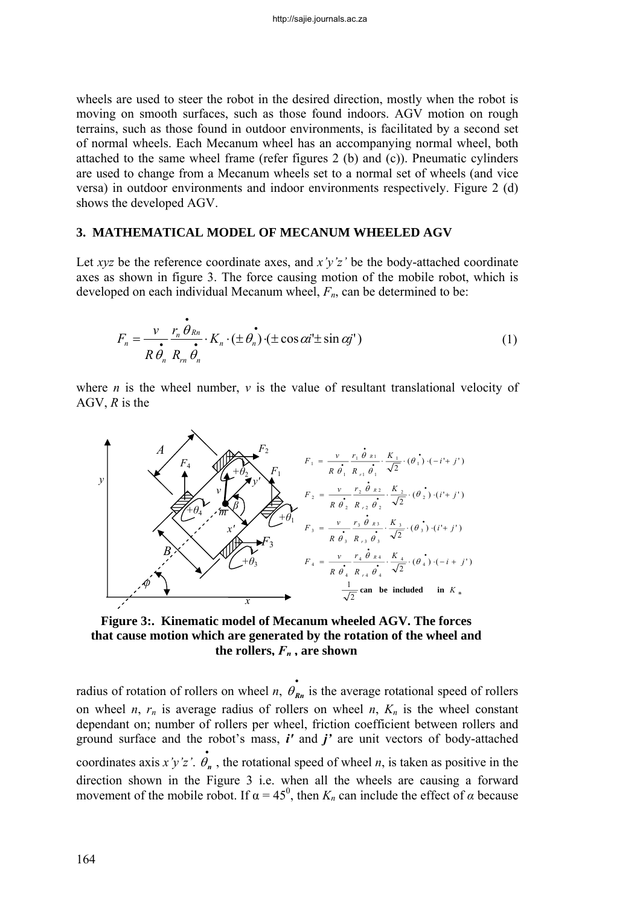wheels are used to steer the robot in the desired direction, mostly when the robot is moving on smooth surfaces, such as those found indoors. AGV motion on rough terrains, such as those found in outdoor environments, is facilitated by a second set of normal wheels. Each Mecanum wheel has an accompanying normal wheel, both attached to the same wheel frame (refer figures 2 (b) and (c)). Pneumatic cylinders are used to change from a Mecanum wheels set to a normal set of wheels (and vice versa) in outdoor environments and indoor environments respectively. Figure 2 (d) shows the developed AGV.

## **3. MATHEMATICAL MODEL OF MECANUM WHEELED AGV**

Let *xyz* be the reference coordinate axes, and *x'y'z'* be the body-attached coordinate axes as shown in figure 3. The force causing motion of the mobile robot, which is developed on each individual Mecanum wheel, *Fn*, can be determined to be:

$$
F_n = \frac{\nu}{R \theta_n} \frac{r_n \dot{\theta}_{Rn}}{R_m \dot{\theta}_n} \cdot K_n \cdot (\pm \theta_n) \cdot (\pm \cos \alpha i \pm \sin \alpha j') \tag{1}
$$

where *n* is the wheel number, *v* is the value of resultant translational velocity of AGV, *R* is the



**Figure 3:. Kinematic model of Mecanum wheeled AGV. The forces that cause motion which are generated by the rotation of the wheel and**  the rollers,  $F_n$ , are shown

radius of rotation of rollers on wheel *n*,  $\mathbf{e}_{nn}$  is the average rotational speed of rollers on wheel *n*,  $r_n$  is average radius of rollers on wheel *n*,  $K_n$  is the wheel constant dependant on; number of rollers per wheel, friction coefficient between rollers and ground surface and the robot's mass, *i'* and *j'* are unit vectors of body-attached coordinates axis *x'y'z'*.  $\dot{\theta}_n$ , the rotational speed of wheel *n*, is taken as positive in the direction shown in the Figure 3 i.e. when all the wheels are causing a forward movement of the mobile robot. If  $\alpha = 45^{\circ}$ , then  $K_n$  can include the effect of  $\alpha$  because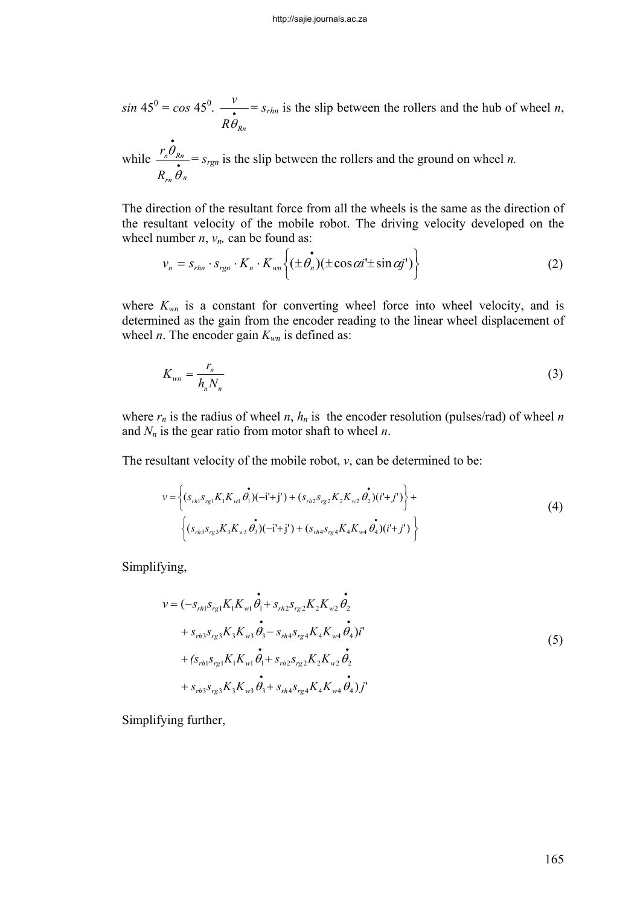$sin 45^\circ = cos 45^\circ$ .  $\frac{v}{\cdot}$  $R\theta_{\scriptscriptstyle Rn}$ *v* θ  $= s_{rhn}$  is the slip between the rollers and the hub of wheel *n*,

while *n rn Rnn R r* • • θ  $\frac{\theta_{Rn}}{\epsilon} = s_{rgn}$  is the slip between the rollers and the ground on wheel *n*.

The direction of the resultant force from all the wheels is the same as the direction of the resultant velocity of the mobile robot. The driving velocity developed on the wheel number  $n$ ,  $v_n$ , can be found as:

$$
v_n = s_{rhn} \cdot s_{rgn} \cdot K_n \cdot K_{wn} \left\{ (\pm \hat{\theta_n})(\pm \cos \alpha i \pm \sin \alpha j') \right\}
$$
 (2)

where  $K_{wn}$  is a constant for converting wheel force into wheel velocity, and is determined as the gain from the encoder reading to the linear wheel displacement of wheel *n*. The encoder gain  $K_{wn}$  is defined as:

$$
K_{\nu n} = \frac{r_n}{h_n N_n} \tag{3}
$$

where  $r_n$  is the radius of wheel *n*,  $h_n$  is the encoder resolution (pulses/rad) of wheel *n* and  $N_n$  is the gear ratio from motor shaft to wheel  $n$ .

The resultant velocity of the mobile robot, *v*, can be determined to be:

$$
v = \left\{ (s_{rh1} s_{rg1} K_1 K_{wl} \dot{\theta}_1) (-i' + j') + (s_{rh2} s_{rg2} K_2 K_{w2} \dot{\theta}_2) (i' + j') \right\} +
$$
  

$$
\left\{ (s_{rh3} s_{rg3} K_3 K_{w3} \dot{\theta}_3) (-i' + j') + (s_{rh4} s_{rg4} K_4 K_{w4} \dot{\theta}_4) (i' + j') \right\}
$$
 (4)

Simplifying,

$$
v = (-s_{rh1} s_{rg1} K_1 K_{wl} \dot{\theta}_1 + s_{rh2} s_{rg2} K_2 K_{w2} \dot{\theta}_2 + s_{rh3} s_{rg3} K_3 K_{w3} \dot{\theta}_3 - s_{rh4} s_{rg4} K_4 K_{w4} \dot{\theta}_4) i' + (s_{rh1} s_{rg1} K_1 K_{wl} \dot{\theta}_1 + s_{rh2} s_{rg2} K_2 K_{w2} \dot{\theta}_2 + s_{rh3} s_{rg3} K_3 K_{w3} \dot{\theta}_3 + s_{rh4} s_{rg4} K_4 K_{w4} \dot{\theta}_4) j'
$$
 (5)

Simplifying further,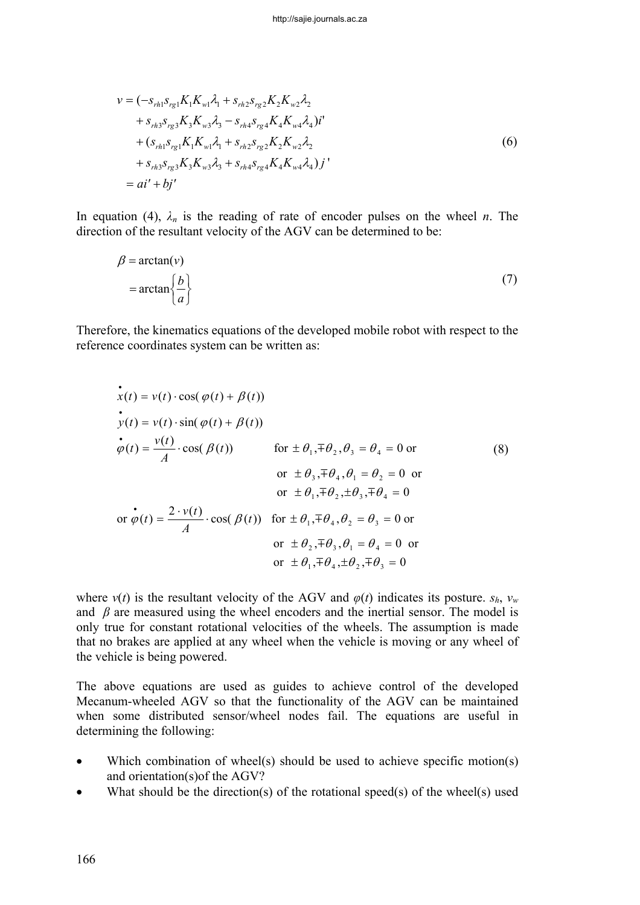$$
v = (-s_{rh1} s_{rg1} K_1 K_{wl} \lambda_1 + s_{rh2} s_{rg2} K_2 K_{w2} \lambda_2 + s_{rh3} s_{rg3} K_3 K_{w3} \lambda_3 - s_{rh4} s_{rg4} K_4 K_{w4} \lambda_4) i' + (s_{rh1} s_{rg1} K_1 K_{wl} \lambda_1 + s_{rh2} s_{rg2} K_2 K_{w2} \lambda_2 + s_{rh3} s_{rg3} K_3 K_{w3} \lambda_3 + s_{rh4} s_{rg4} K_4 K_{w4} \lambda_4) j' = ai' + bj'
$$
 (6)

In equation (4),  $\lambda_n$  is the reading of rate of encoder pulses on the wheel *n*. The direction of the resultant velocity of the AGV can be determined to be:

$$
\beta = \arctan(v)
$$
  
=  $\arctan\left\{\frac{b}{a}\right\}$  (7)

Therefore, the kinematics equations of the developed mobile robot with respect to the reference coordinates system can be written as:

$$
\begin{aligned}\n\dot{x}(t) &= v(t) \cdot \cos(\varphi(t) + \beta(t)) \\
\dot{y}(t) &= v(t) \cdot \sin(\varphi(t) + \beta(t)) \\
\dot{\varphi}(t) &= \frac{v(t)}{A} \cdot \cos(\beta(t)) \qquad \text{for } \pm \theta_1, \mp \theta_2, \theta_3 = \theta_4 = 0 \text{ or} \\
\text{or } \pm \theta_3, \mp \theta_4, \theta_1 = \theta_2 = 0 \text{ or} \\
\text{or } \pm \theta_1, \mp \theta_2, \pm \theta_3, \mp \theta_4 = 0 \\
\text{or } \dot{\varphi}(t) &= \frac{2 \cdot v(t)}{A} \cdot \cos(\beta(t)) \quad \text{for } \pm \theta_1, \mp \theta_4, \theta_2 = \theta_3 = 0 \text{ or} \\
\text{or } \pm \theta_2, \mp \theta_3, \theta_1 = \theta_4 = 0 \text{ or} \\
\text{or } \pm \theta_1, \mp \theta_4, \pm \theta_2, \mp \theta_3 = 0\n\end{aligned}
$$
\n(8)

where  $v(t)$  is the resultant velocity of the AGV and  $\varphi(t)$  indicates its posture.  $s_h$ ,  $v_w$ and  $\beta$  are measured using the wheel encoders and the inertial sensor. The model is only true for constant rotational velocities of the wheels. The assumption is made that no brakes are applied at any wheel when the vehicle is moving or any wheel of the vehicle is being powered.

The above equations are used as guides to achieve control of the developed Mecanum-wheeled AGV so that the functionality of the AGV can be maintained when some distributed sensor/wheel nodes fail. The equations are useful in determining the following:

- Which combination of wheel(s) should be used to achieve specific motion(s) and orientation(s)of the AGV?
- What should be the direction(s) of the rotational speed(s) of the wheel(s) used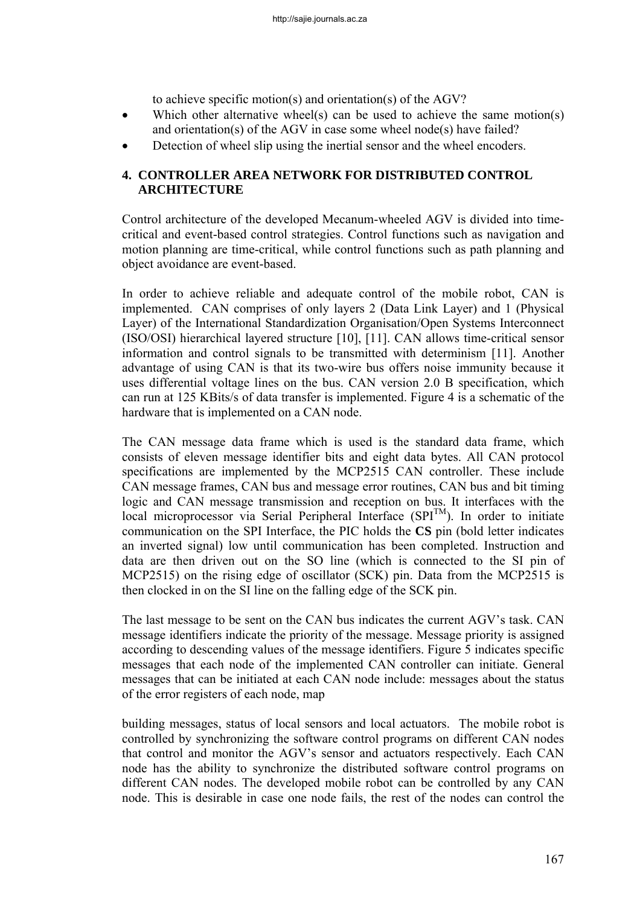to achieve specific motion(s) and orientation(s) of the AGV?

- Which other alternative wheel(s) can be used to achieve the same motion(s) and orientation(s) of the AGV in case some wheel node(s) have failed?
- Detection of wheel slip using the inertial sensor and the wheel encoders.

# **4. CONTROLLER AREA NETWORK FOR DISTRIBUTED CONTROL ARCHITECTURE**

Control architecture of the developed Mecanum-wheeled AGV is divided into timecritical and event-based control strategies. Control functions such as navigation and motion planning are time-critical, while control functions such as path planning and object avoidance are event-based.

In order to achieve reliable and adequate control of the mobile robot, CAN is implemented. CAN comprises of only layers 2 (Data Link Layer) and 1 (Physical Layer) of the International Standardization Organisation/Open Systems Interconnect (ISO/OSI) hierarchical layered structure [10], [11]. CAN allows time-critical sensor information and control signals to be transmitted with determinism [11]. Another advantage of using CAN is that its two-wire bus offers noise immunity because it uses differential voltage lines on the bus. CAN version 2.0 B specification, which can run at 125 KBits/s of data transfer is implemented. Figure 4 is a schematic of the hardware that is implemented on a CAN node.

The CAN message data frame which is used is the standard data frame, which consists of eleven message identifier bits and eight data bytes. All CAN protocol specifications are implemented by the MCP2515 CAN controller. These include CAN message frames, CAN bus and message error routines, CAN bus and bit timing logic and CAN message transmission and reception on bus. It interfaces with the local microprocessor via Serial Peripheral Interface  $(SPI<sup>TM</sup>)$ . In order to initiate communication on the SPI Interface, the PIC holds the **CS** pin (bold letter indicates an inverted signal) low until communication has been completed. Instruction and data are then driven out on the SO line (which is connected to the SI pin of MCP2515) on the rising edge of oscillator (SCK) pin. Data from the MCP2515 is then clocked in on the SI line on the falling edge of the SCK pin.

The last message to be sent on the CAN bus indicates the current AGV's task. CAN message identifiers indicate the priority of the message. Message priority is assigned according to descending values of the message identifiers. Figure 5 indicates specific messages that each node of the implemented CAN controller can initiate. General messages that can be initiated at each CAN node include: messages about the status of the error registers of each node, map

building messages, status of local sensors and local actuators. The mobile robot is controlled by synchronizing the software control programs on different CAN nodes that control and monitor the AGV's sensor and actuators respectively. Each CAN node has the ability to synchronize the distributed software control programs on different CAN nodes. The developed mobile robot can be controlled by any CAN node. This is desirable in case one node fails, the rest of the nodes can control the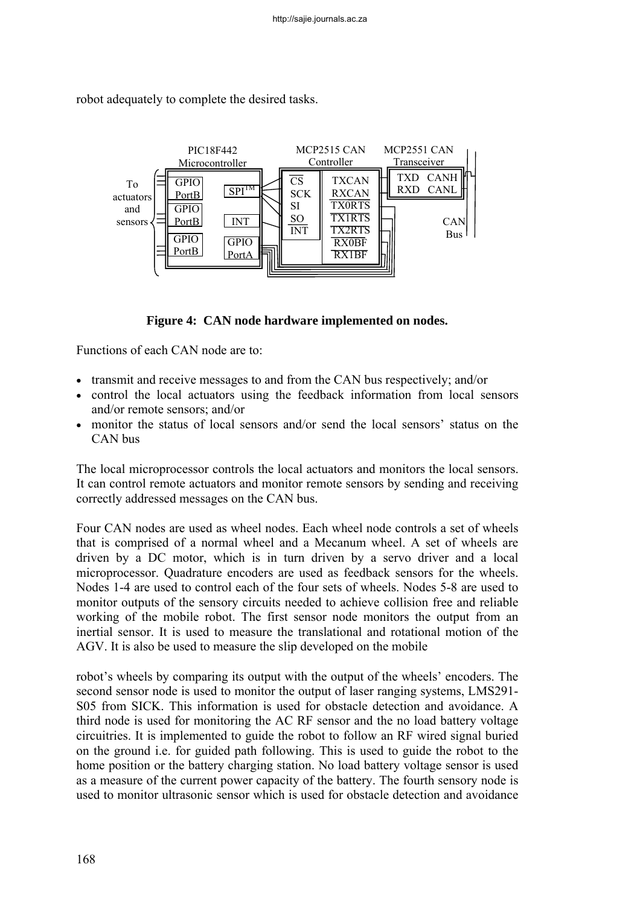

robot adequately to complete the desired tasks.

**Figure 4: CAN node hardware implemented on nodes.** 

Functions of each CAN node are to:

- transmit and receive messages to and from the CAN bus respectively; and/or
- control the local actuators using the feedback information from local sensors and/or remote sensors; and/or
- monitor the status of local sensors and/or send the local sensors' status on the CAN bus

The local microprocessor controls the local actuators and monitors the local sensors. It can control remote actuators and monitor remote sensors by sending and receiving correctly addressed messages on the CAN bus.

Four CAN nodes are used as wheel nodes. Each wheel node controls a set of wheels that is comprised of a normal wheel and a Mecanum wheel. A set of wheels are driven by a DC motor, which is in turn driven by a servo driver and a local microprocessor. Quadrature encoders are used as feedback sensors for the wheels. Nodes 1-4 are used to control each of the four sets of wheels. Nodes 5-8 are used to monitor outputs of the sensory circuits needed to achieve collision free and reliable working of the mobile robot. The first sensor node monitors the output from an inertial sensor. It is used to measure the translational and rotational motion of the AGV. It is also be used to measure the slip developed on the mobile

robot's wheels by comparing its output with the output of the wheels' encoders. The second sensor node is used to monitor the output of laser ranging systems, LMS291- S05 from SICK. This information is used for obstacle detection and avoidance. A third node is used for monitoring the AC RF sensor and the no load battery voltage circuitries. It is implemented to guide the robot to follow an RF wired signal buried on the ground i.e. for guided path following. This is used to guide the robot to the home position or the battery charging station. No load battery voltage sensor is used as a measure of the current power capacity of the battery. The fourth sensory node is used to monitor ultrasonic sensor which is used for obstacle detection and avoidance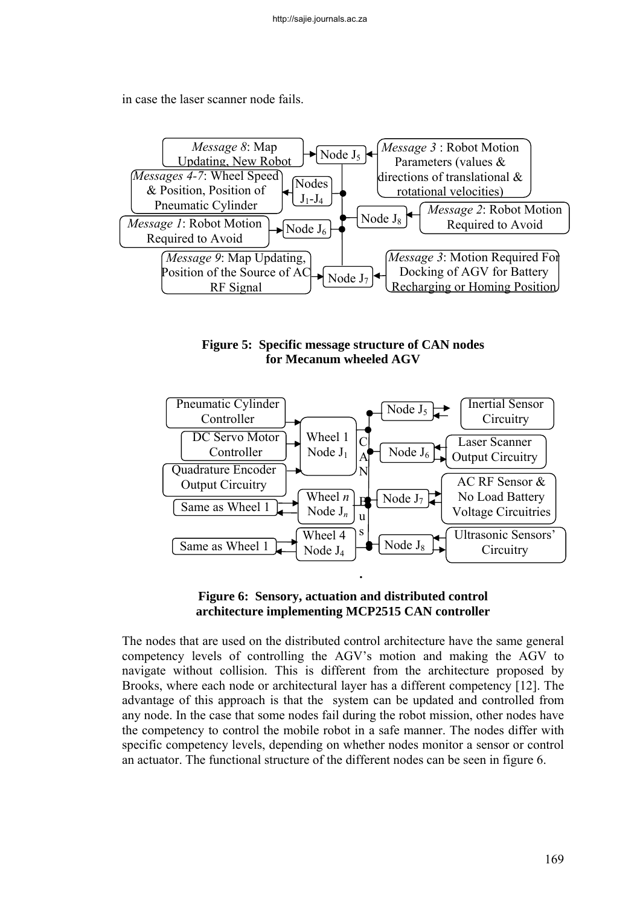in case the laser scanner node fails.



**Figure 5: Specific message structure of CAN nodes for Mecanum wheeled AGV** 



## **Figure 6: Sensory, actuation and distributed control architecture implementing MCP2515 CAN controller**

The nodes that are used on the distributed control architecture have the same general competency levels of controlling the AGV's motion and making the AGV to navigate without collision. This is different from the architecture proposed by Brooks, where each node or architectural layer has a different competency [12]. The advantage of this approach is that the system can be updated and controlled from any node. In the case that some nodes fail during the robot mission, other nodes have the competency to control the mobile robot in a safe manner. The nodes differ with specific competency levels, depending on whether nodes monitor a sensor or control an actuator. The functional structure of the different nodes can be seen in figure 6.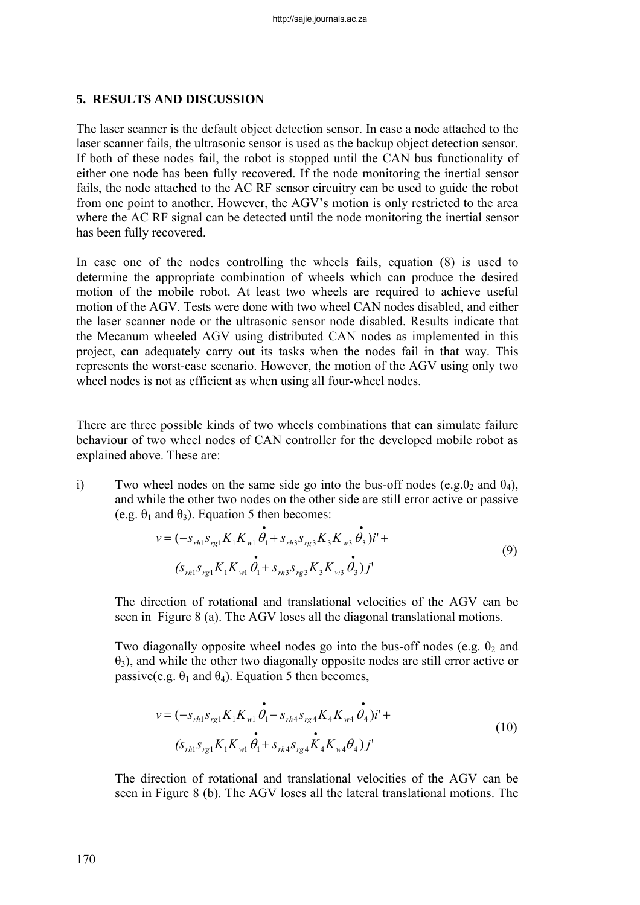### **5. RESULTS AND DISCUSSION**

The laser scanner is the default object detection sensor. In case a node attached to the laser scanner fails, the ultrasonic sensor is used as the backup object detection sensor. If both of these nodes fail, the robot is stopped until the CAN bus functionality of either one node has been fully recovered. If the node monitoring the inertial sensor fails, the node attached to the AC RF sensor circuitry can be used to guide the robot from one point to another. However, the AGV's motion is only restricted to the area where the AC RF signal can be detected until the node monitoring the inertial sensor has been fully recovered.

In case one of the nodes controlling the wheels fails, equation (8) is used to determine the appropriate combination of wheels which can produce the desired motion of the mobile robot. At least two wheels are required to achieve useful motion of the AGV. Tests were done with two wheel CAN nodes disabled, and either the laser scanner node or the ultrasonic sensor node disabled. Results indicate that the Mecanum wheeled AGV using distributed CAN nodes as implemented in this project, can adequately carry out its tasks when the nodes fail in that way. This represents the worst-case scenario. However, the motion of the AGV using only two wheel nodes is not as efficient as when using all four-wheel nodes.

There are three possible kinds of two wheels combinations that can simulate failure behaviour of two wheel nodes of CAN controller for the developed mobile robot as explained above. These are:

i) Two wheel nodes on the same side go into the bus-off nodes (e.g. $\theta_2$  and  $\theta_4$ ), and while the other two nodes on the other side are still error active or passive (e.g.  $\theta_1$  and  $\theta_3$ ). Equation 5 then becomes:

$$
v = (-s_{rh1} s_{rg1} K_1 K_{wl} \dot{\theta}_1 + s_{rh3} s_{rg3} K_3 K_{w3} \dot{\theta}_3) i' +
$$
  

$$
(s_{rh1} s_{rg1} K_1 K_{wl} \dot{\theta}_1 + s_{rh3} s_{rg3} K_3 K_{w3} \dot{\theta}_3) j'
$$
 (9)

The direction of rotational and translational velocities of the AGV can be seen in Figure 8 (a). The AGV loses all the diagonal translational motions.

Two diagonally opposite wheel nodes go into the bus-off nodes (e.g.  $\theta_2$  and  $\theta_3$ ), and while the other two diagonally opposite nodes are still error active or passive(e.g.  $\theta_1$  and  $\theta_4$ ). Equation 5 then becomes,

$$
v = (-s_{rh1} s_{rg1} K_1 K_{wl} \dot{\theta}_1 - s_{rh4} s_{rg4} K_4 K_{w4} \dot{\theta}_4) i' +
$$
  
(s\_{rh1} s\_{rg1} K\_1 K\_{wl} \dot{\theta}\_1 + s\_{rh4} s\_{rg4} \dot{K}\_4 K\_{w4} \theta\_4) j' (10)

The direction of rotational and translational velocities of the AGV can be seen in Figure 8 (b). The AGV loses all the lateral translational motions. The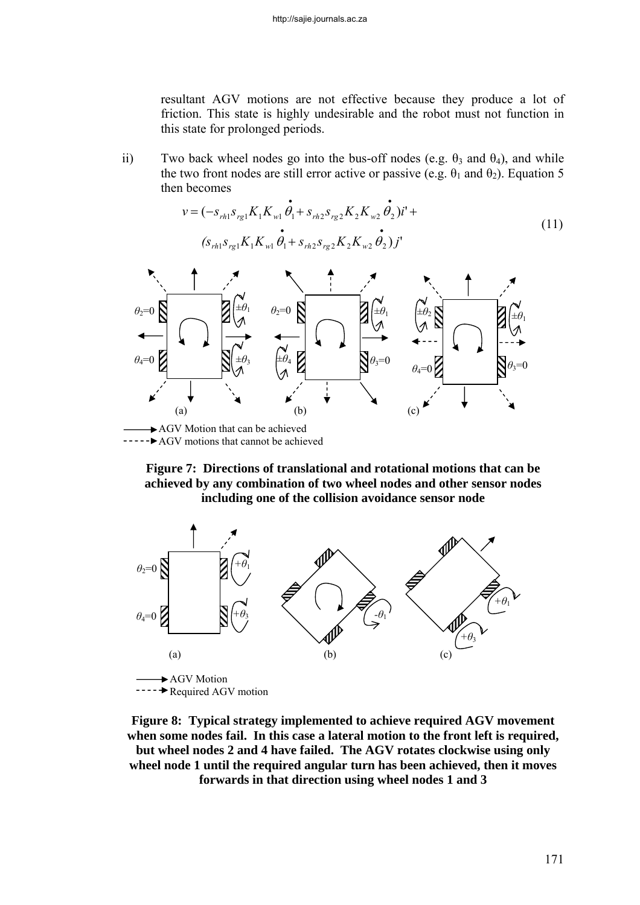resultant AGV motions are not effective because they produce a lot of friction. This state is highly undesirable and the robot must not function in this state for prolonged periods.

ii) Two back wheel nodes go into the bus-off nodes (e.g.  $\theta_3$  and  $\theta_4$ ), and while the two front nodes are still error active or passive (e.g.  $\theta_1$  and  $\theta_2$ ). Equation 5 then becomes

$$
v = (-s_{rh1} s_{rg1} K_1 K_{wl} \dot{\theta}_1 + s_{rh2} s_{rg2} K_2 K_{w2} \dot{\theta}_2) i' +
$$
  
(s\_{rh1} s\_{rg1} K\_1 K\_{wl} \dot{\theta}\_1 + s\_{rh2} s\_{rg2} K\_2 K\_{w2} \dot{\theta}\_2) j' (11)



**Figure 7: Directions of translational and rotational motions that can be achieved by any combination of two wheel nodes and other sensor nodes including one of the collision avoidance sensor node** 



---- Required AGV motion

**Figure 8: Typical strategy implemented to achieve required AGV movement when some nodes fail. In this case a lateral motion to the front left is required, but wheel nodes 2 and 4 have failed. The AGV rotates clockwise using only wheel node 1 until the required angular turn has been achieved, then it moves forwards in that direction using wheel nodes 1 and 3**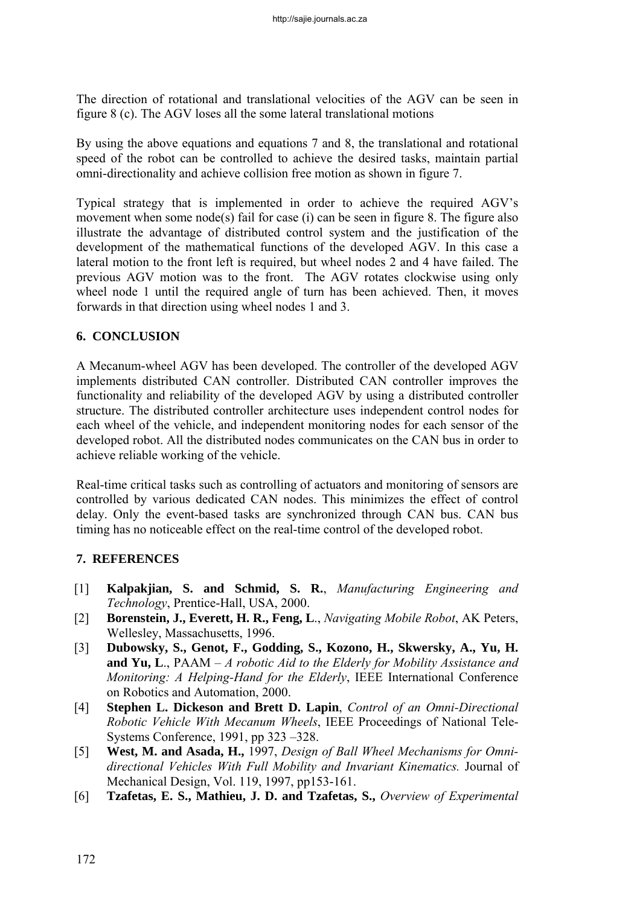The direction of rotational and translational velocities of the AGV can be seen in figure 8 (c). The AGV loses all the some lateral translational motions

By using the above equations and equations 7 and 8, the translational and rotational speed of the robot can be controlled to achieve the desired tasks, maintain partial omni-directionality and achieve collision free motion as shown in figure 7.

Typical strategy that is implemented in order to achieve the required AGV's movement when some node(s) fail for case (i) can be seen in figure 8. The figure also illustrate the advantage of distributed control system and the justification of the development of the mathematical functions of the developed AGV. In this case a lateral motion to the front left is required, but wheel nodes 2 and 4 have failed. The previous AGV motion was to the front. The AGV rotates clockwise using only wheel node 1 until the required angle of turn has been achieved. Then, it moves forwards in that direction using wheel nodes 1 and 3.

# **6. CONCLUSION**

A Mecanum-wheel AGV has been developed. The controller of the developed AGV implements distributed CAN controller. Distributed CAN controller improves the functionality and reliability of the developed AGV by using a distributed controller structure. The distributed controller architecture uses independent control nodes for each wheel of the vehicle, and independent monitoring nodes for each sensor of the developed robot. All the distributed nodes communicates on the CAN bus in order to achieve reliable working of the vehicle.

Real-time critical tasks such as controlling of actuators and monitoring of sensors are controlled by various dedicated CAN nodes. This minimizes the effect of control delay. Only the event-based tasks are synchronized through CAN bus. CAN bus timing has no noticeable effect on the real-time control of the developed robot.

# **7. REFERENCES**

- [1] **Kalpakjian, S. and Schmid, S. R.**, *Manufacturing Engineering and Technology*, Prentice-Hall, USA, 2000.
- [2] **Borenstein, J., Everett, H. R., Feng, L**., *Navigating Mobile Robot*, AK Peters, Wellesley, Massachusetts, 1996.
- [3] **Dubowsky, S., Genot, F., Godding, S., Kozono, H., Skwersky, A., Yu, H. and Yu, L**., PAAM – *A robotic Aid to the Elderly for Mobility Assistance and Monitoring: A Helping-Hand for the Elderly*, IEEE International Conference on Robotics and Automation, 2000.
- [4] **Stephen L. Dickeson and Brett D. Lapin**, *Control of an Omni-Directional Robotic Vehicle With Mecanum Wheels*, IEEE Proceedings of National Tele-Systems Conference, 1991, pp 323 –328.
- [5] **West, M. and Asada, H.,** 1997, *Design of Ball Wheel Mechanisms for Omnidirectional Vehicles With Full Mobility and Invariant Kinematics.* Journal of Mechanical Design, Vol. 119, 1997, pp153-161.
- [6] **Tzafetas, E. S., Mathieu, J. D. and Tzafetas, S.,** *Overview of Experimental*